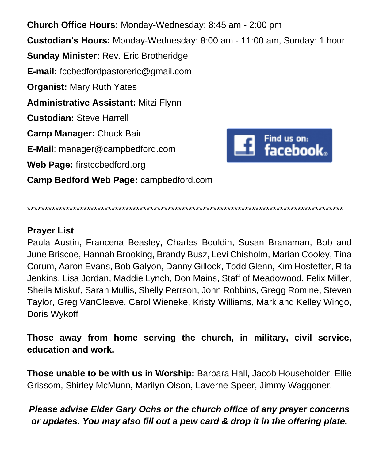**Church Office Hours:** Monday**-**Wednesday: 8:45 am - 2:00 pm **Custodian's Hours:** Monday-Wednesday: 8:00 am - 11:00 am, Sunday: 1 hour **Sunday Minister:** Rev. Eric Brotheridge **E-mail:** fccbedfordpastoreric@gmail.com **Organist:** Mary Ruth Yates **Administrative Assistant:** Mitzi Flynn **Custodian:** Steve Harrell **Camp Manager:** Chuck Bair  $\blacksquare$  Find us on:<br> $\blacksquare$  facebook. **E-Mail**: manager@campbedford.com **Web Page:** firstccbedford.org **Camp Bedford Web Page:** campbedford.com

\*\*\*\*\*\*\*\*\*\*\*\*\*\*\*\*\*\*\*\*\*\*\*\*\*\*\*\*\*\*\*\*\*\*\*\*\*\*\*\*\*\*\*\*\*\*\*\*\*\*\*\*\*\*\*\*\*\*\*\*\*\*\*\*\*\*\*\*\*\*\*\*\*\*\*\*\*\*\*\*\*\*\*\*\*\*\*\*\*\*

## **Prayer List**

Paula Austin, Francena Beasley, Charles Bouldin, Susan Branaman, Bob and June Briscoe, Hannah Brooking, Brandy Busz, Levi Chisholm, Marian Cooley, Tina Corum, Aaron Evans, Bob Galyon, Danny Gillock, Todd Glenn, Kim Hostetter, Rita Jenkins, Lisa Jordan, Maddie Lynch, Don Mains, Staff of Meadowood, Felix Miller, Sheila Miskuf, Sarah Mullis, Shelly Perrson, John Robbins, Gregg Romine, Steven Taylor, Greg VanCleave, Carol Wieneke, Kristy Williams, Mark and Kelley Wingo, Doris Wykoff

**Those away from home serving the church, in military, civil service, education and work.**

**Those unable to be with us in Worship:** Barbara Hall, Jacob Householder, Ellie Grissom, Shirley McMunn, Marilyn Olson, Laverne Speer, Jimmy Waggoner.

## *Please advise Elder Gary Ochs or the church office of any prayer concerns or updates. You may also fill out a pew card & drop it in the offering plate.*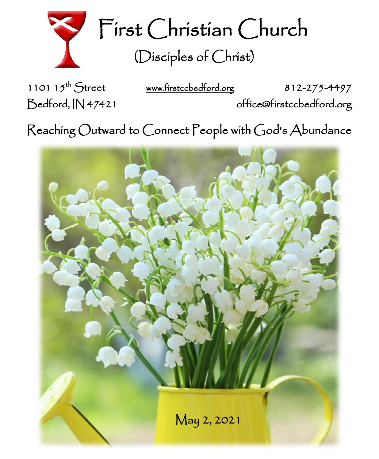

First Christian Church (Disciples of Christ)

1101  $15^{th}$  Street

[www.firstccbedford.org](http://www.firstccbedford.org/) 812-275-4497 Bedford, IN 47421 office@firstccbedford.org

 $\sf Reaching~Outward$  to  $\sf C$ onnect  $\sf P$ eople with  $\sf C$ od's  $\sf Abundance$ 

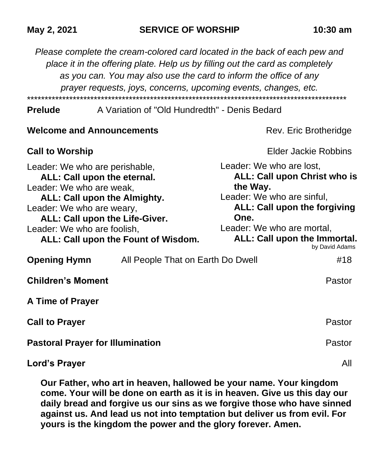*Please complete the cream-colored card located in the back of each pew and place it in the offering plate. Help us by filling out the card as completely as you can. You may also use the card to inform the office of any prayer requests, joys, concerns, upcoming events, changes, etc.*  \*\*\*\*\*\*\*\*\*\*\*\*\*\*\*\*\*\*\*\*\*\*\*\*\*\*\*\*\*\*\*\*\*\*\*\*\*\*\*\*\*\*\*\*\*\*\*\*\*\*\*\*\*\*\*\*\*\*\*\*\*\*\*\*\*\*\*\*\*\*\*\*\*\*\*\*\*\*\*\*\*\*\*\*\*\*\*\*\*\*\*

## **Prelude** A Variation of "Old Hundredth" - Denis Bedard

| <b>Welcome and Announcements</b><br>Rev. Eric Brotheridge                                                                                                                                                                                                      |                                                                                                                                                                                                                                          |
|----------------------------------------------------------------------------------------------------------------------------------------------------------------------------------------------------------------------------------------------------------------|------------------------------------------------------------------------------------------------------------------------------------------------------------------------------------------------------------------------------------------|
| <b>Call to Worship</b>                                                                                                                                                                                                                                         | <b>Elder Jackie Robbins</b>                                                                                                                                                                                                              |
| Leader: We who are perishable,<br>ALL: Call upon the eternal.<br>Leader: We who are weak,<br>ALL: Call upon the Almighty.<br>Leader: We who are weary,<br>ALL: Call upon the Life-Giver.<br>Leader: We who are foolish,<br>ALL: Call upon the Fount of Wisdom. | Leader: We who are lost,<br><b>ALL: Call upon Christ who is</b><br>the Way.<br>Leader: We who are sinful,<br><b>ALL: Call upon the forgiving</b><br>One.<br>Leader: We who are mortal,<br>ALL: Call upon the Immortal.<br>by David Adams |
| <b>Opening Hymn</b><br>All People That on Earth Do Dwell                                                                                                                                                                                                       | #18                                                                                                                                                                                                                                      |
| <b>Children's Moment</b>                                                                                                                                                                                                                                       | Pastor                                                                                                                                                                                                                                   |
| A Time of Prayer                                                                                                                                                                                                                                               |                                                                                                                                                                                                                                          |
| <b>Call to Prayer</b>                                                                                                                                                                                                                                          | Pastor                                                                                                                                                                                                                                   |
| <b>Pastoral Prayer for Illumination</b>                                                                                                                                                                                                                        | Pastor                                                                                                                                                                                                                                   |
| Lord's Prayer                                                                                                                                                                                                                                                  | All                                                                                                                                                                                                                                      |

**Our Father, who art in heaven, hallowed be your name. Your kingdom come. Your will be done on earth as it is in heaven. Give us this day our daily bread and forgive us our sins as we forgive those who have sinned against us. And lead us not into temptation but deliver us from evil. For yours is the kingdom the power and the glory forever. Amen.**